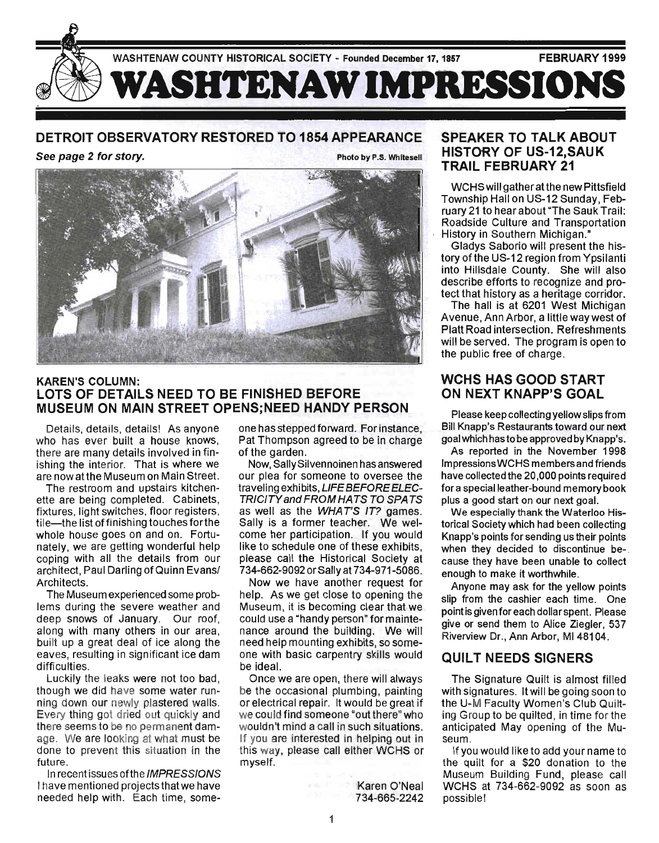

#### DETROIT OBSERVATORY RESTORED TO 1854 APPEARANCE

See page 2 for story. The state of the Photo by P.S. Whitesell



#### KAREN'S COLUMN: LOTS OF DETAILS NEED TO BE FINISHED BEFORE MUSEUM ON MAIN STREET OPENS;NEED HANDY PERSON

Details, details, details! As anyone who has ever built a house knows, there are many details involved in finishing the interior. That is where we are now at the Museum on Main Street.

The restroom and upstairs kitchenette are being completed. Cabinets, fixtures, light switches, floor registers, tile—the list of finishing touches for the whole house goes on and on. Fortunately, we are getting wonderful help coping with all the details from our architect, Paul Darling of Quinn Evansl Architects.

The Museum experienced some problems during the severe weather and deep snows of January. Our roof, along with many others in our area, built up a great deal of ice along the eaves, resulting in significant ice dam difficulties.

Luckily the leaks were not too bad, though we did have some water running down our newly plastered walls. Every thing got dried out quickly and there seems to be no permanent damage. We are looking at what must be done to prevent this situation in the future.

In recent issues ofthe IMPRESSIONS I have mentioned projects that we have needed help with. Each time, someone has stepped forward. For instance, Pat Thompson agreed to be in charge of the garden.

Now, SallySilvennoinen has answered our plea for someone to oversee the traveling exhibits, LIFE BEFORE ELEC-TRICITY and FROM HATS TO SPATS as well as the WHAT'S IT? games. Sally is a former teacher. We welcome her participation. If you would like to schedule one of these exhibits, please call the Historical Society at 734-662-9092 or Sally at 734-971-5086.

Now we have another request for help. As we get close to opening the Museum, it is becoming clear that we could use a "handy person" for maintenance around the building. We will need help mounting exhibits, so someone with basic carpentry skills would be ideal.

Once we are open, there will always be the occasional plumbing, painting or electrical repair. It would be great if we could find someone "out there" who wouldn't mind a call in such situations. If you are interested in helping out in this way, please call either WCHS or myself.

> Karen O'Neal 734-665-2242

#### SPEAKER TO TALK ABOUT HISTORY OF US-12,SAUK TRAIL FEBRUARY 21

WCHS will gather at the new Pittsfield Township Hall on US-12 Sunday, February 21 to hear about "The Sauk Trail: Roadside Culture and Transportation History in Southern Michigan."

Gladys Saborio will present the history of the US-12 region from Ypsilanti into Hillsdale County. She will also describe efforts to recognize and protect that history as a heritage corridor.

The hall is at 6201 West Michigan Avenue, Ann Arbor, a little way west of Platt Road intersection. Refreshments will be served. The program is open to the public free of charge.

# WCHS HAS GOOD START ON NEXT KNAPP'S GOAL

Please keep collecting yellowslips from Bill Knapp's Restaurants toward our next goal which has to be approved by Knapp's.

As reported in the November 1998 Impressions WCHS members and friends have collected the 20,000 points required for a special leather-bound memory book plus a good start on our next goal.

We especially thank the Waterloo Historical Society which had been collecting Knapp's points for sending us their points when they decided to discontinue because they have been unable to collect enough to make it worthwhile.

Anyone may ask for the yellow points slip from the cashier each time. One point is given for each dollar spent. Please give or send them to Alice Ziegler, 537 Riverview Dr., Ann Arbor, M148104.

# QUILT NEEDS SIGNERS

The Signature Quilt is almost filled with signatures. It will be going soon to the U-M Faculty Women's Club Quilting Group to be quilted, in time for the anticipated May opening of the Museum.

If you would like to add your name to the quilt for a \$20 donation to the Museum Building Fund, please call WCHS at 734-662-9092 as soon as pOSSible!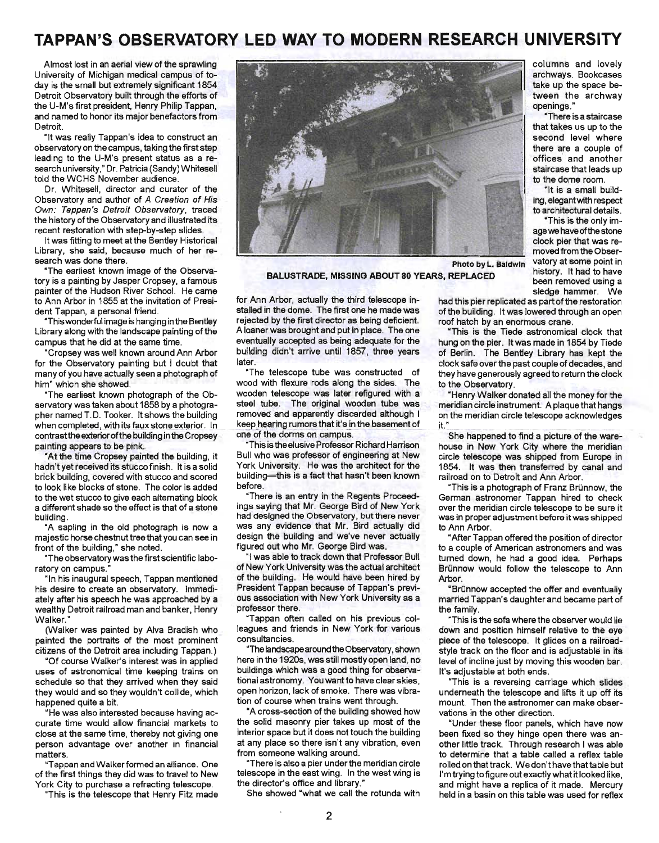# **TAPPAN'S OBSERVATORY LED WAY TO MODERN RESEARCH UNIVERSITY**

Almost lost in an aerial view of the sprawling University of Michigan medical campus of today is the small but extremely significant 1854 Detroit Observatory built through the efforts of the U-M's first president, Henry Philip Tappan, and named to honor its major benefactors from Detroit.

"It was really Tappan's idea to construct an observatory on the campus, taking the first step leading to the U-M's present status as a research university," Dr. Patricia (Sandy) Whitesell told the WCHS November audience.

Dr. Whitesell, director and curator of the Observatory and author of A Creation of His Own: Tappan's Detroit Observatory, traced the history of the Observatory and illustrated its recent restoration with step-by-step slides.

It was fitting to meet at the Bentley Historical Library, she said, because much of her research was done there.

"The earliest known image of the Observatory is a painting by Jasper Cropsey, a famous painter of the Hudson River School. He came to Ann Arbor in 1855 at the invitation of President Tappan, a personal friend.

"This wonderful image is hanging in the Bentley Library along with the landscape painting of the campus that he did at the same time.

"Cropsey was well known around Ann Arbor for the Observatory painting but I doubt that many of you have actually seen a photograph of him" which she showed.

"The earliest known photograph of the Observatory was taken about 1858 by a photographer named T.D. Tooker. It shows the building when completed, with its faux stone exterior. In contrast the exterior of the building in the Cropsey painting appears to be pink.

"At the time Cropsey painted the building, it hadn't yet received its stucco finish. It is a solid brick building, covered with stucco and scored to look like blocks of stone. The color is added to the wet stucco to give each alternating block a different shade so the effect is that of a stone building.

"A sapling in the old photograph is now a majestic horse chestnut tree that you can see in front of the building," she noted.

"The observatory was the first scientific laboratory on campus.

"In his inaugural speech, Tappan mentioned his desire to create an observatory. Immediately after his speech he was approached by a wealthy Detroit railroad man and banker, Henry Walker."

(Walker was painted by Alva Bradish who painted the portraits of the most prominent citizens of the Detroit area including Tappan.)

"Of course Walker's interest was in applied uses of astronomical time keeping trains on schedule so that they arrived when they said they would and so they wouldn't collide, which happened quite a bit.

"He was also interested because having accurate time would allow financial markets to close at the same time, thereby not giving one person advantage over another in financial matters.

"Tappan and Walker formed an alliance. One of the first things they did was to travel to New York City to purchase a refracting telescope.

"This is the telescope that Henry Fitz made



BALUSTRADE, MISSING ABOUT 80 YEARS, REPLACED

for Ann Arbor, actually the third telescope installed in the dome. The first one he made was rejected by the first director as being deficient. A loaner was brought and put in place. The one eventually accepted as being adequate for the building didn't arrive until 1857, three years later.

"The telescope tube was constructed of wood with flexure rods along the sides. The wooden telescope was later refigured with a steel tube. The original wooden tube was removed and apparently discarded although I keep hearing rumors that it's in the basement of one of the dorms on campus.

This is the elusive Professor Richard Harrison Bull who was professor of engineering at New York University. He was the architect for the building-this is a fact that hasn't been known before.

"There is an entry in the Regents Proceedings saying that Mr. George Bird of New York had designed the Observatory, but there never was any evidence that Mr. Bird actually did design the building and we've never actually figured out who Mr. George Bird was.

"I was able to track down that Professor Bull of New York University was the actual architect of the building. He would have been hired by President Tappan because of Tappan's previous association with New York University as a professor there.

"Tappan often called on his previous colleagues and friends in New York for various consultancies.

"The landscape around the Observatory, shown here in the 1920s, was still mostly open land, no buildings which was a good thing for observational astronomy. You want to have clear skies, open horizon, lack of smoke. There was vibration of course when trains went through.

"A cross-section of the building showed how the solid masonry pier takes up most of the interior space but it does not touch the building at any place so there isn't any vibration, even from someone walking around.

"There is also a pier under the meridian circle telescope in the east wing. In the west wing is the director's office and library."

She showed "what we call the rotunda with

columns and lovely archways. Bookcases take up the space between the archway openings."

"There is a staircase that takes us up to the second level where there are a couple of offices and another staircase that leads up to the dome room.

"It is a small building, elegant with respect to architectural details.

"This is the only image we have of the stone clock pier that was removed from the Obser-Photo by L. Baldwin vatory at some point in<br>PERLACED history. It had to have been removed using a sledge hammer. We

had this pier replicated as part of the restoration of the building. It was lowered through an open roof hatch by an enormous crane.

"This is the Tiede astronomical clock that hung on the pier. It was made in 1854 by Tiede of Berlin. The Bentley Library has kept the clock safe over the past couple of decades, and they have generously agreed to return the clock to the Observatory.

"Henry Walker donated all the money for the meridian circle instrument. A plaque that hangs on the meridian circle telescope acknowledges  $it.$ "

She happened to find a picture of the warehouse in New York City where the meridian circle telescope was shipped from Europe in 1854. It was then transferred by canal and railroad on to Detroit and Ann Arbor.

'This is a photograph of Franz Brünnow, the German astronomer Tappan hired to check over the meridian circle telescope to be sure it was in proper adjustment before it was shipped to Ann Arbor.

"After Tappan offered the position of director to a couple of American astronomers and was turned down, he had a good idea. Perhaps Brünnow would follow the telescope to Ann Arbor.

"Brünnow accepted the offer and eventually married Tappan's daughter and became part of the family.

"This is the sofa where the observer would lie down and position himself relative to the eye piece of the telescope. It glides on a railroadstyle track on the floor and is adjustable in its level of incline just by moving this wooden bar. It's adjustable at both ends.

"This is a reversing carriage which slides underneath the telescope and lifts it up off its mount. Then the astronomer can make observations in the other direction.

"Under these floor panels, which have now been fixed so they hinge open there was another little track. Through research I was able to determine that a table called a reflex table rolled on that track. We don't have that table but I'm trying to figure out exactly what it looked like, and might have a replica of it made. Mercury held in a basin on this table was used for reflex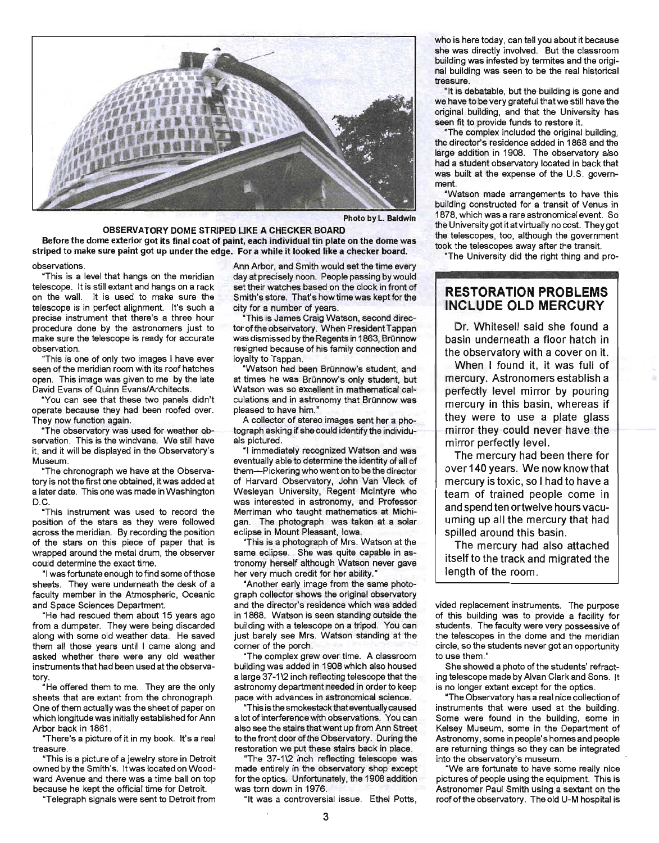

Photo by L. Baldwin

OBSERVATORY DOME STRIPED LIKE A CHECKER BOARD Before the dome exterior got its final coat of paint, each individual tin plate on the dome was striped to make sure paint got up under the edge. For a while it looked like a checker board.

observations.

"This is a level that hangs on the meridian telescope. It is still extant and hangs on a rack on the wall. It is used to make sure the telescope is in perfect alignment. It's such a precise instrument that there's a three hour procedure done by the astronomers just to make sure the telescope is ready for accurate observation.

"This is one of only two images I have ever seen of the meridian room with its roof hatches open. This image was given to me by the late David Evans of Quinn Evans/Architects.

"You can see that these two panels didn't operate because they had been roofed over. They now function again.

"The observatory was used for weather observation. This is the windvane. We still have it, and it will be displayed in the Observatory's Museum.

"The chronograph we have at the Observatory is not the first one obtained, it was added at a later date. This one was made in Washington D.C.

"This instrument was used to record the position of the stars as they were followed across the meridian. By recording the position of the stars on this piece of paper that is wrapped around the metal drum, the observer could determine the exact time.

"I was fortunate enough to find some of those sheets. They were underneath the desk of a faculty member in the Atmospheric, Oceanic and Space Sciences Department.

"He had rescued them about 15 years ago from a dumpster. They were being discarded along with some old weather data. He saved them all those years until I came along and asked whether there were any old weather instruments that had been used at the observatory.

"He offered them to me. They are the only sheets that are extant from the chronograph. One of them actually was the sheet of paper on which longitude was initially established for Ann Arbor back in 1861 .

"There's a picture of it in my book. It's a real treasure.

"This is a picture of a jewelry store in Detroit owned by the Smith's. It was located on Woodward Avenue and there was a time ball on top because he kept the official time for Detroit.

"Telegraph signals were sent to Detroit from

Ann Arbor, and Smith would set the time every day at precisely noon. People passing by would set their watches based on the clock in front of Smith's store. That's how time was kept for the city for a number of years.

"This is James Craig Watson, second director of the observatory. When President Tappan was dismissed by the Regents in 1863, Brünnow resigned because of his family connection and loyalty to Tappan.

"Watson had been Brünnow's student, and at times he was Brünnow's only student, but Watson was so excellent in mathematical calculations and in astronomy that Brünnow was pleased to have him."

A collector of stereo images sent her a photograph asking if she could identify the individuals pictured.

"I immediately recognized Watson and was eventually able to determine the identity of all of them-Pickering who went on to be the director of Harvard Observatory, John Van Vleck of Wesleyan University, Regent Mcintyre who was interested in astronomy, and Professor Merriman who taught mathematics at Michigan. The photograph was taken at a solar eclipse in Mount Pleasant, Iowa.

"This is a photograph of Mrs. Watson at the same eclipse. She was quite capable in astronomy herself although Watson never gave her very much credit for her ability.'

"Another early image from the same photograph collector shows the original observatory and the director's residence which was added in 1868. Watson is seen standing outside the building with a telescope on a tripod. You can just barely see Mrs. Watson standing at the corner of the porch.

"The complex grew over time. A classroom building was added in 1908 which also housed a large 37-1\2 inch reflecting telescope that the astronomy department needed in order to keep pace with advances in astronomical science.

"This is the smokestack that eventually caused a lot of interference with observations. You can also see the stairs that went up from Ann Street to the front door of the Observatory. During the restoration we put these stairs back in place.

"The 37-1\2 inch reflecting telescope was made entirely in the observatory shop except for the optics. Unfortunately, the 1908 addition was torn down in 1976.

"It was a controversial issue. Ethel Potts,

who is here today, can tell you about it because she was directly involved. But the classroom building was infested by termites and the original building was seen to be the real historical treasure.

"It is debatable, but the building is gone and we have to be very grateful that we still have the original building, and that the University has seen fit to provide funds to restore it.

"The complex included the original building, the director's residence added in 1868 and the large addition in 1908. The observatory also had a student observatory located in back that was built at the expense of the U.S. government.

"Watson made arrangements to have this building constructed for a transit of Venus in 1878, which was a rare astronomical event. So the University got it at virtually no cost. They got the telescopes, too, although the government took the telescopes away after the transit.

"The University did the right thing and pro-

#### **RESTORATION PROBLEMS INCLUDE OLD MERCURY**

Dr. Whitesell said she found a basin underneath a floor hatch in the observatory with a cover on it.

When I found it, it was full of mercury. Astronomers establish a perfectly level mirror by pouring mercury in this basin, whereas if they were to use a plate glass mirror they could never have the mirror perfectly level.

The mercury had been there for over 140 years. We now know that mercury is toxic, so I had to have a team of trained people come in and spend ten ortwelve hours vacuuming up all the mercury that had spilled around this basin.

The mercury had also attached itself to the track and migrated the length of the room.

vided replacement instruments. The purpose of this building was to provide a facility for students. The faculty were very possessive of the telescopes in the dome and the meridian circle, so the students never got an opportunity to use them."

She showed a photo of the students' refracting telescope made by Alvan Clark and Sons. It is no longer extant except for the optics.

"The Observatory has a real nice collection of instruments that were used at the building. Some were found in the building, some in Kelsey Museum, some in the Department of Astronomy, some in people's homes and people are returning things so they can be integrated into the observatory's museum.

' We are fortunate to have some really nice pictures of people using the equipment. This is Astronomer Paul Smith using a sextant on the roof of the observatory. The old U-M hospital is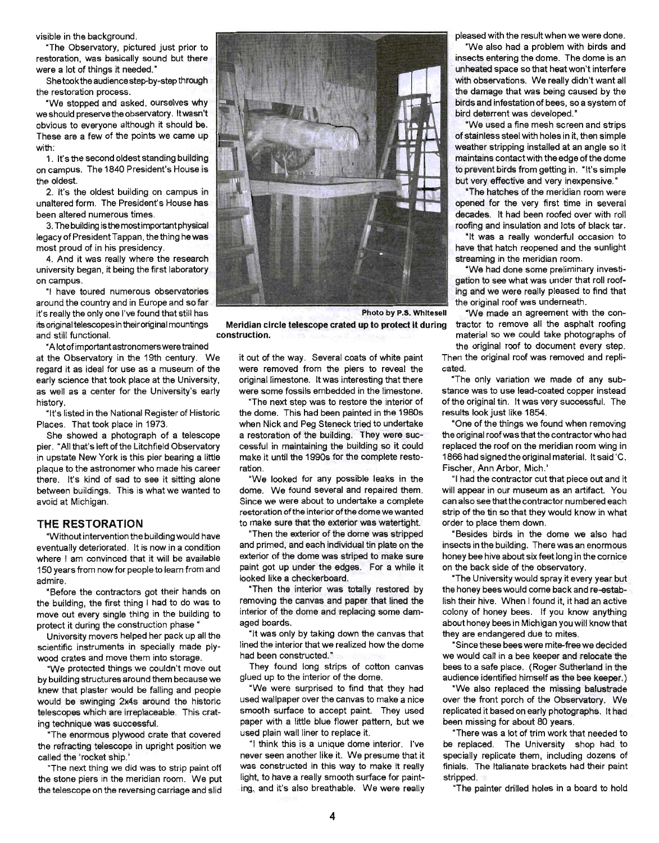visible in the background.

"The Observatory, pictured just prior to restoration, was basically sound but there were a lot of things it needed."

Shetookthe audience step-by-step through the restoration process.

"We stopped and asked, ourselves why we should preserve the observatory. It wasn't obvious to everyone although it should be. These are a few of the points we came up with:

1. It's the second oldest standing building on campus. The 1840 President's House is the oldest.

2. It's the oldest building on campus in unaltered form. The President's House has been altered numerous times.

3. The building is the most important physical legacy of President Tappan, the thing he was most proud of in his presidency.

4. And it was really where the research university began, it being the first laboratory on campus.

"I have toured numerous observatories around the country and in Europe and so far it's really the only one I've found that still has its original telescopes in their original mountings and still functional.

at the Observatory in the 19th century. We regard it as ideal for use as a museum of the early science that took place at the University, as well as a center for the University's early history.

"It's listed in the National Register of Historic Places. That took place in 1973.

She showed a photograph of a telescope pier. "All that's left of the Litchfield Observatory in upstate New York is this pier bearing a little plaque to the astronomer who made his career there. It's kind of sad to see it sitting alone between buildings. This is what we wanted to avoid at Michigan.

#### **THE RESTORATION**

"Without intervention the building would have eventually deteriorated. It is now in a condition where I am convinced that it will be available 150 years from now for people to learn from and admire.

"Before the contractors got their hands on the building, the first thing I had to do was to move out every single thing in the building to protect it during the construction phase "

University movers helped her pack up all the scientific instruments in specially made plywood crates and move them into storage.

"We protected things we couldn't move out by building structures around them because we knew that plaster would be falling and people would be swinging 2x4s around the historic telescopes which are irreplaceable. This crating technique was successful.

"The enormous plywood crate that covered the refracting telescope in upright position we called the 'rocket ship.'

"The next thing we did was to strip paint off the stone piers in the meridian room. We put the telescope on the reversing carriage and slid



Meridian circle telescope crated up to protect it during

it out of the way. Several coats of white paint were removed from the piers to reveal the original limestone. It was interesting that there were some fossils embedded in the limestone.

construction.

"The next step was to restore the interior of the dome. This had been painted in the 1980s when Nick and Peg Steneck tried to undertake a restoration of the building. They were successful in maintaining the building so it could make it until the 1990s for the complete restoration.

"We looked for any possible leaks in the dome. We found several and repaired them. Since we were about to undertake a complete restoration of the interior of the dome we wanted to make sure that the exterior was watertight.

"Then the exterior of the dome was stripped and primed, and each individual tin plate on the exterior of the dome was striped to make sure paint got up under the edges. For a while it looked like a checkerboard.

"Then the interior was totally restored by removing the canvas and paper that lined the interior of the dome and replacing some damaged boards.

"It was only by taking down the canvas that lined the interior that we realized how the dome had been constructed."

They found long strips of cotton canvas glued up to the interior of the dome.

"We were surprised to find that they had used wallpaper over the canvas to make a nice smooth surface to accept paint. They used paper with a little blue flower pattern, but we used plain wall liner to replace it.

"I think this is a unique dome interior. I've never seen another like it. We presume that it was constructed in this way to make it really light, to have a really smooth surface for painting, and it's also breathable. We were really

pleased with the result when we were done.

·We also had a problem with birds and insects entering the dome. The dome is an . unheated space so that heat won't interfere with observations. We really didn't want all the damage that was being caused by the birds and infestation of bees, so a system of bird deterrent was developed."

"We used a fine mesh screen and strips of stainless steel with holes in it, then simple weather stripping installed at an angle so it maintains contact with the edge of the dome to prevent birds from getting in. "It's simple but very effective and very inexpensive."

"The hatches of the meridian room were opened for the very first time in several decades. It had been roofed over with roll roofing and insulation and lots of black tar.

"It was a really wonderful occasion to have that hatch reopened and the sunlight streaming in the meridian room.

"We had done some preliminary investigation to see what was under that roll roofing and we were really pleased to find that the original roof was underneath.

"We made an agreement with the contractor to remove all the asphalt roofing material so we could take photographs of • A lot of important astronomers were trained the original roof to document every step . Then the original roof was removed and replicated.

> "The only variation we made of any substance was to use lead-coated copper instead of the original tin. It was very successful. The results look just like 1854.

> "One of the things we found when removing the original roofwas that the contractor who had replaced the roof on the meridian room wing in 1866 had signed the original material. It said 'C. Fischer, Ann Arbor, Mich.'

> "I had the contractor cut that piece out and it will appear in our museum as an artifact. You can also see that the contractor numbered each strip of the tin so that they would know in what order to place them down.

> "Besides birds in the dome we also had insects in the building. There was an enormous honey bee hive about six feet long in the cornice on the back side of the observatory.

> "The University would spray it every year but the honey bees would come back and re-establish their hive. When I found it, it had an active colony of honey bees. If you know anything about honey bees in Michigan you will knowthat they are endangered due to mites.

> "Since these bees were mite-free we decided we would call in a bee keeper and relocate the bees to a safe place. (Roger Sutherland in the audience identified himself as the bee keeper.)

> "We also replaced the missing balustrade over the front porch of the Observatory. We replicated it based on early photographs. It had been missing for about 80 years.

> "There was a lot of trim work that needed to be replaced. The University shop had to specially replicate them, including dozens of finials. The Italianate brackets had their paint stripped.

"The painter drilled holes in a board to hold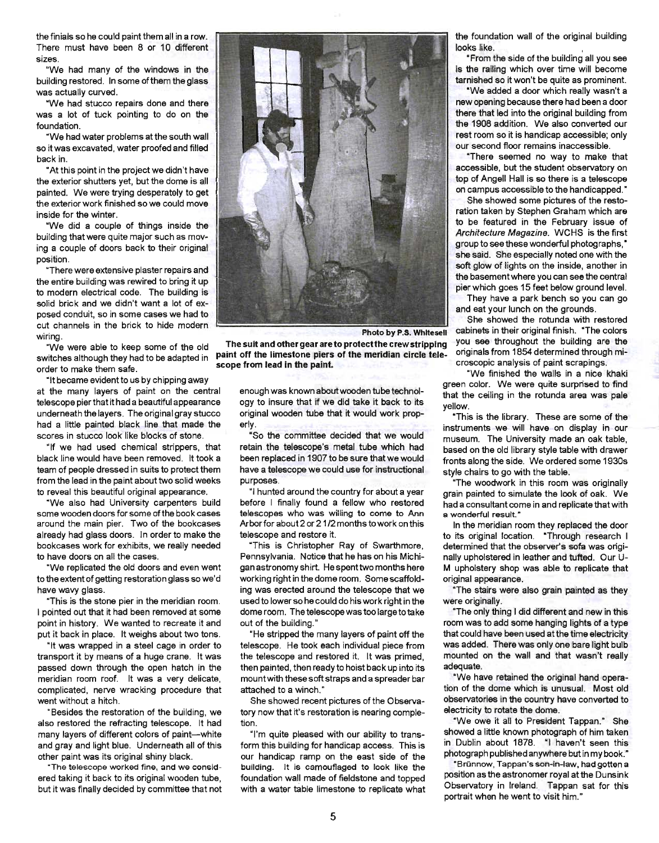the finials so he could paint them all in a row. There must have been 8 or 10 different sizes.

"We had many of the windows in the building restored. In some of them the glass was actually curved.

"We had stucco repairs done and there was a lot of tuck pointing to do on the foundation.

"We had water problems at the south wall so it was excavated, water proofed and filled back in.

"At this point in the project we didn't have the exterior shutters yet, but the dome is all painted. We were trying desperately to get the exterior work finished so we could move inside for the winter.

"We did a couple of things inside the building that were quite major such as moving a couple of doors back to their original position.

"There were extensive plaster repairs and the entire building was rewired to bring it up to modern electrical code. The building is solid brick and we didn't want a lot of exposed conduit, so in some cases we had to cut channels in the brick to hide modern wiring.

"We were able to keep some of the old switches although they had to be adapted in order to make them safe.

"It became evident to us by chipping away at the many layers of paint on the central telescope pier that it had a beautiful appearance underneath the layers. The original gray stucco had a little painted black line that made the scores in stucco look like blocks of stone.

"If we had used chemical strippers, that black line would have been removed. It took a team of people dressed in suits to protect them from the lead in the paint about two solid weeks to reveal this beautiful original appearance.

"We also had University carpenters build some wooden doors for some of the book cases around the main pier. Two of the bookcases already had glass doors. In order to make the bookcases work for exhibits, we really needed to have doors on all the cases.

"We replicated the old doors and even went to the extent of getting restoration glass so we'd have wavy glass.

"This is the stone pier in the meridian room. I pointed out that it had been removed at some point in history. We wanted to recreate it and put it back in place. It weighs about two tons.

"It was wrapped in a steel cage in order to transport it by means of a huge crane. It was passed down through the open hatch in the meridian room roof. It was a very delicate, complicated, nerve wracking procedure that went without a hitch.

"Besides the restoration of the building, we also restored the refracting telescope. It had many layers of different colors of paint-white and gray and light blue. Underneath all of this other paint was its original shiny black.

"The telescope worked fine, and we considered taking it back to its original wooden tube, but it was finally decided by committee that not



The suit and other gear are to protectthe crew stripping paint off the limestone piers of the meridian circle telescope from lead In the paint.

> enough was known about wooden tube technology to insure that if we did take it back to its original wooden tube that it would work properly.

> "So the committee decided that we would retain the telescope's metal tube which had been replaced in 1907 to be sure that we would have a telescope we could use for instructional purposes.

> "I hunted around the country for about a year before I finally found a fellow who restored telescopes who was willing to come to Ann Arborfor about 2 or 21/2 months to work on this telescope and restore it.

> "This is Christopher Ray of Swarthmore, Pennsylvania. Notice that he has on his Michigan astronomy shirt. He spent two months here working right in the dome room. Some scaffolding was erected around the telescope that we used to lower so he could do his work right in the dome room. The telescope was too large to take out of the building.'

> . "He stripped the many layers of paint off the telescope. He took each individual piece from the telescope and restored it. It was primed, then painted, then ready to hoist back up into its mount with these soft straps and a spreader bar attached to a winch.'

> She showed recent pictures of the Observatory now that it's restoration is nearing completion.

> "I'm quite pleased with our ability to transform this building for handicap access. This is our handicap ramp on the east side of the building. It is camouflaged to look like the foundation wall made of fieldstone and topped with a water table limestone to replicate what

the foundation wall of the original building looks like. ,

"From the side of the building all you see is the railing which over time will become tarnished so it won't be quite as prominent.

"We added a door which really wasn't a new opening because there had been a door there that led into the original building from the 1908 addition. We also converted our rest room so it is handicap accessible; only our second floor remains inaccessible.

"There seemed no way to make that accessible, but the student observatory on top of Angell Hall is so there is a telescope on campus accessible to the handicapped."

She showed some pictures of the restoration taken by Stephen Graham which are to be featured in the February issue of Architecture Magazine. WCHS is the first group to see these wonderful photographs," she said. She especially noted one with the soft glow of lights on the inside, another in the basement where you can see the central pier which goes 15 feet below ground level.

They have a park bench so you can go and eat your lunch on the grounds.

She showed the rotunda with restored cabinets in their original finish. "The colors you see throughout the building are the originals from 1854 determined through microscopic analysis of paint scrapings.

"We finished the walls in a nice khaki green color. We were quite surprised to find that the ceiling in the rotunda area was pale yellow.

"This is the library. These are some of the instruments we will have on display in our museum. The University made an oak table, based on the old library style table with drawer fronts along the side. We ordered some 1930s style chairs to go with the table.

"The woodwork in this room was originally grain painted to simulate the look of oak. We had a consultant come in and replicate that with a wonderful result.'

In the meridian room they replaced the door to its original location. "Through research I determined that the observer's sofa was originally upholstered in leather and tufted. Our U-M upholstery shop was able to replicate that original appearance.

"The stairs were also grain painted as they were originally.

"The only thing I did different and new in this room was to add some hanging lights of a type that could have been used at the time electricity was added. There was only one bare light bulb mounted on the wall and that wasn't really adequate.

"We have retained the original hand operation of the dome which is unusual. Most old observatories in the country have converted to electricity to rotate the dome.

"We owe it all to President Tappan: She showed a little known photograph of him taken in Dublin about 1878. "I haven't seen this photograph published anywhere but in my book."

"Brunnow, Tappan's son-in-law. had gotten a position as the astronomer royal at the Dunsink Observatory in Ireland. Tappan sat for this portrait when he went to visit him."